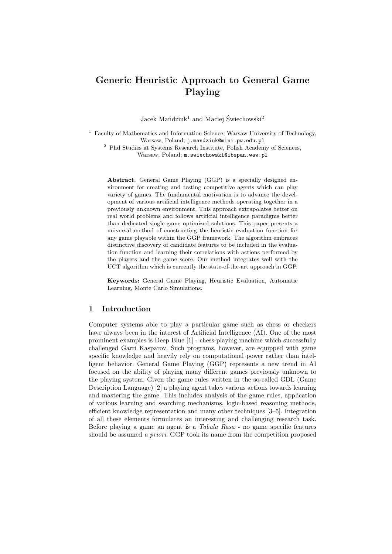# Generic Heuristic Approach to General Game Playing

Jacek Mańdziuk<sup>1</sup> and Maciej Świechowski<sup>2</sup>

<sup>1</sup> Faculty of Mathematics and Information Science, Warsaw University of Technology, Warsaw, Poland; j.mandziuk@mini.pw.edu.pl <sup>2</sup> Phd Studies at Systems Research Institute, Polish Academy of Sciences, Warsaw, Poland; m.swiechowski@ibspan.waw.pl

Abstract. General Game Playing (GGP) is a specially designed environment for creating and testing competitive agents which can play variety of games. The fundamental motivation is to advance the development of various artificial intelligence methods operating together in a previously unknown environment. This approach extrapolates better on real world problems and follows artificial intelligence paradigms better than dedicated single-game optimized solutions. This paper presents a universal method of constructing the heuristic evaluation function for any game playable within the GGP framework. The algorithm embraces distinctive discovery of candidate features to be included in the evaluation function and learning their correlations with actions performed by the players and the game score. Our method integrates well with the UCT algorithm which is currently the state-of-the-art approach in GGP.

Keywords: General Game Playing, Heuristic Evaluation, Automatic Learning, Monte Carlo Simulations.

## 1 Introduction

Computer systems able to play a particular game such as chess or checkers have always been in the interest of Artificial Intelligence (AI). One of the most prominent examples is Deep Blue [1] - chess-playing machine which successfully challenged Garri Kasparov. Such programs, however, are equipped with game specific knowledge and heavily rely on computational power rather than intelligent behavior. General Game Playing (GGP) represents a new trend in AI focused on the ability of playing many different games previously unknown to the playing system. Given the game rules written in the so-called GDL (Game Description Language) [2] a playing agent takes various actions towards learning and mastering the game. This includes analysis of the game rules, application of various learning and searching mechanisms, logic-based reasoning methods, efficient knowledge representation and many other techniques [3–5]. Integration of all these elements formulates an interesting and challenging research task. Before playing a game an agent is a Tabula Rasa - no game specific features should be assumed a priori. GGP took its name from the competition proposed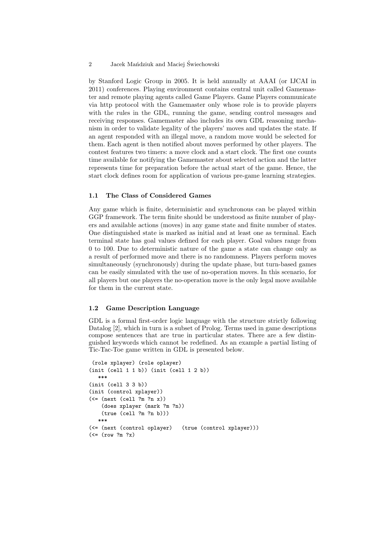by Stanford Logic Group in 2005. It is held annually at AAAI (or IJCAI in 2011) conferences. Playing environment contains central unit called Gamemaster and remote playing agents called Game Players. Game Players communicate via http protocol with the Gamemaster only whose role is to provide players with the rules in the GDL, running the game, sending control messages and receiving responses. Gamemaster also includes its own GDL reasoning mechanism in order to validate legality of the players' moves and updates the state. If an agent responded with an illegal move, a random move would be selected for them. Each agent is then notified about moves performed by other players. The contest features two timers: a move clock and a start clock. The first one counts time available for notifying the Gamemaster about selected action and the latter represents time for preparation before the actual start of the game. Hence, the start clock defines room for application of various pre-game learning strategies.

#### 1.1 The Class of Considered Games

Any game which is finite, deterministic and synchronous can be played within GGP framework. The term finite should be understood as finite number of players and available actions (moves) in any game state and finite number of states. One distinguished state is marked as initial and at least one as terminal. Each terminal state has goal values defined for each player. Goal values range from 0 to 100. Due to deterministic nature of the game a state can change only as a result of performed move and there is no randomness. Players perform moves simultaneously (synchronously) during the update phase, but turn-based games can be easily simulated with the use of no-operation moves. In this scenario, for all players but one players the no-operation move is the only legal move available for them in the current state.

## 1.2 Game Description Language

GDL is a formal first-order logic language with the structure strictly following Datalog [2], which in turn is a subset of Prolog. Terms used in game descriptions compose sentences that are true in particular states. There are a few distinguished keywords which cannot be redefined. As an example a partial listing of Tic-Tac-Toe game written in GDL is presented below.

```
(role xplayer) (role oplayer)
(init (cell 1 1 b)) (init (cell 1 2 b))
   ***
(init (cell 3 3 b))
(init (control xplayer))
(\leq - (next (cell ?m ?n x))
    (does xplayer (mark ?m ?n))
    (true (cell ?m ?n b)))
   ***
(<= (next (control oplayer) (true (control xplayer)))
(\leq - (row ?m ?x)
```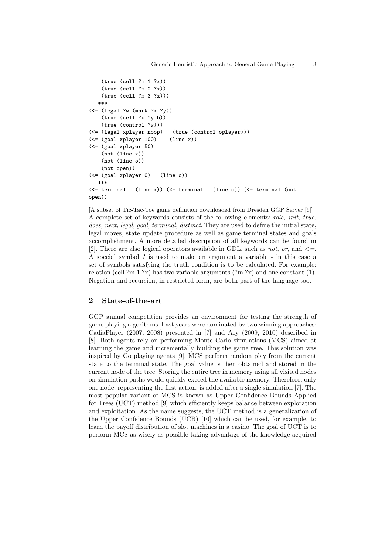```
(true (cell ?m 1 ?x))
    (true (cell ?m 2 ?x))
    (true (cell ?m 3 ?x)))
   ***
(<= (legal ?w (mark ?x ?y))
    (true (cell ?x ?y b))
    (true (control ?w)))
(<= (legal xplayer noop) (true (control oplayer)))
(<= (goal xplayer 100) (line x))
(<= (goal xplayer 50)
    (not (line x))
    (not (line o))
    (not open))
(<= (goal xplayer 0) (line o))
   ***
(<= terminal (line x)) (<= terminal (line o)) (<= terminal (not
open))
```
[A subset of Tic-Tac-Toe game definition downloaded from Dresden GGP Server [6]] A complete set of keywords consists of the following elements: role, init, true, does, next, legal, goal, terminal, distinct. They are used to define the initial state, legal moves, state update procedure as well as game terminal states and goals accomplishment. A more detailed description of all keywords can be found in [2]. There are also logical operators available in GDL, such as *not, or,* and  $\leq$ A special symbol ? is used to make an argument a variable - in this case a set of symbols satisfying the truth condition is to be calculated. For example: relation (cell ?m 1 ?x) has two variable arguments (?m ?x) and one constant (1). Negation and recursion, in restricted form, are both part of the language too.

# 2 State-of-the-art

GGP annual competition provides an environment for testing the strength of game playing algorithms. Last years were dominated by two winning approaches: CadiaPlayer (2007, 2008) presented in [7] and Ary (2009, 2010) described in [8]. Both agents rely on performing Monte Carlo simulations (MCS) aimed at learning the game and incrementally building the game tree. This solution was inspired by Go playing agents [9]. MCS perform random play from the current state to the terminal state. The goal value is then obtained and stored in the current node of the tree. Storing the entire tree in memory using all visited nodes on simulation paths would quickly exceed the available memory. Therefore, only one node, representing the first action, is added after a single simulation [7]. The most popular variant of MCS is known as Upper Confidence Bounds Applied for Trees (UCT) method [9] which efficiently keeps balance between exploration and exploitation. As the name suggests, the UCT method is a generalization of the Upper Confidence Bounds (UCB) [10] which can be used, for example, to learn the payoff distribution of slot machines in a casino. The goal of UCT is to perform MCS as wisely as possible taking advantage of the knowledge acquired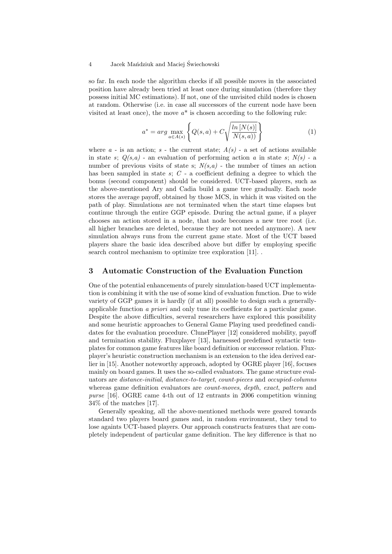so far. In each node the algorithm checks if all possible moves in the associated position have already been tried at least once during simulation (therefore they possess initial MC estimations). If not, one of the unvisited child nodes is chosen at random. Otherwise (i.e. in case all successors of the current node have been visited at least once), the move  $a^*$  is chosen according to the following rule:

$$
a^* = arg \max_{a \in A(s)} \left\{ Q(s, a) + C \sqrt{\frac{\ln\left[N(s)\right]}{N(s, a)} \right\} \tag{1}
$$

where  $a$  - is an action;  $s$  - the current state;  $A(s)$  - a set of actions available in state s;  $Q(s,a)$  - an evaluation of performing action a in state s;  $N(s)$  - a number of previous visits of state s;  $N(s,a)$  - the number of times an action has been sampled in state  $s$ ;  $C$  - a coefficient defining a degree to which the bonus (second component) should be considered. UCT-based players, such as the above-mentioned Ary and Cadia build a game tree gradually. Each node stores the average payoff, obtained by those MCS, in which it was visited on the path of play. Simulations are not terminated when the start time elapses but continue through the entire GGP episode. During the actual game, if a player chooses an action stored in a node, that node becomes a new tree root (i.e. all higher branches are deleted, because they are not needed anymore). A new simulation always runs from the current game state. Most of the UCT based players share the basic idea described above but differ by employing specific search control mechanism to optimize tree exploration [11]. .

# 3 Automatic Construction of the Evaluation Function

One of the potential enhancements of purely simulation-based UCT implementation is combining it with the use of some kind of evaluation function. Due to wide variety of GGP games it is hardly (if at all) possible to design such a generallyapplicable function a priori and only tune its coefficients for a particular game. Despite the above difficulties, several researchers have explored this possibility and some heuristic approaches to General Game Playing used predefined candidates for the evaluation procedure. ClunePlayer [12] considered mobility, payoff and termination stability. Fluxplayer [13], harnessed predefined syntactic templates for common game features like board definition or successor relation. Fluxplayer's heuristic construction mechanism is an extension to the idea derived earlier in [15]. Another noteworthy approach, adopted by OGRE player [16], focuses mainly on board games. It uses the so-called evaluators. The game structure evaluators are distance-initial, distance-to-target, count-pieces and occupied-columns whereas game definition evaluators are count-moves, depth, exact, pattern and purse [16]. OGRE came 4-th out of 12 entrants in 2006 competition winning 34% of the matches [17].

Generally speaking, all the above-mentioned methods were geared towards standard two players board games and, in random environment, they tend to lose againts UCT-based players. Our approach constructs features that are completely independent of particular game definition. The key difference is that no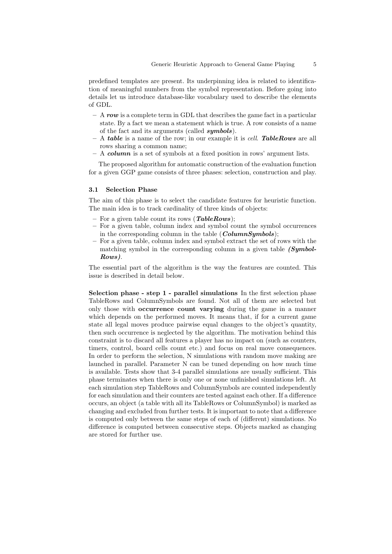predefined templates are present. Its underpinning idea is related to identification of meaningful numbers from the symbol representation. Before going into details let us introduce database-like vocabulary used to describe the elements of GDL.

- $A$  row is a complete term in GDL that describes the game fact in a particular state. By a fact we mean a statement which is true. A row consists of a name of the fact and its arguments (called symbols).
- $A$  table is a name of the row; in our example it is *cell. TableRows* are all rows sharing a common name;
- $A$  column is a set of symbols at a fixed position in rows' argument lists.

The proposed algorithm for automatic construction of the evaluation function for a given GGP game consists of three phases: selection, construction and play.

#### 3.1 Selection Phase

The aim of this phase is to select the candidate features for heuristic function. The main idea is to track cardinality of three kinds of objects:

- For a given table count its rows ( $\mathit{TableRows}$ );
- For a given table, column index and symbol count the symbol occurrences in the corresponding column in the table  $(ColumnSymbols)$ ;
- For a given table, column index and symbol extract the set of rows with the matching symbol in the corresponding column in a given table  $(Sumbol$ -Rows).

The essential part of the algorithm is the way the features are counted. This issue is described in detail below.

Selection phase - step 1 - parallel simulations In the first selection phase TableRows and ColumnSymbols are found. Not all of them are selected but only those with occurrence count varying during the game in a manner which depends on the performed moves. It means that, if for a current game state all legal moves produce pairwise equal changes to the object's quantity, then such occurrence is neglected by the algorithm. The motivation behind this constraint is to discard all features a player has no impact on (such as counters, timers, control, board cells count etc.) and focus on real move consequences. In order to perform the selection, N simulations with random move making are launched in parallel. Parameter N can be tuned depending on how much time is available. Tests show that 3-4 parallel simulations are usually sufficient. This phase terminates when there is only one or none unfinished simulations left. At each simulation step TableRows and ColumnSymbols are counted independently for each simulation and their counters are tested against each other. If a difference occurs, an object (a table with all its TableRows or ColumnSymbol) is marked as changing and excluded from further tests. It is important to note that a difference is computed only between the same steps of each of (different) simulations. No difference is computed between consecutive steps. Objects marked as changing are stored for further use.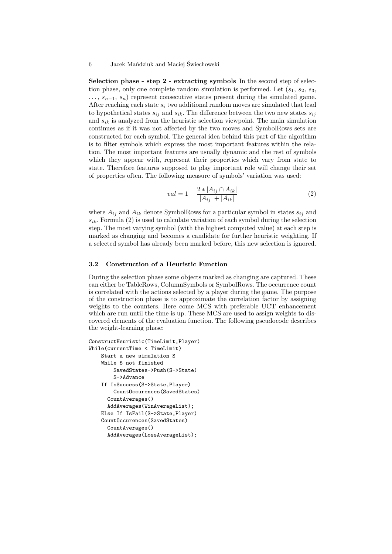Selection phase - step 2 - extracting symbols In the second step of selection phase, only one complete random simulation is performed. Let  $(s_1, s_2, s_3,$  $\ldots, s_{n-1}, s_n$  represent consecutive states present during the simulated game. After reaching each state  $s_i$  two additional random moves are simulated that lead to hypothetical states  $s_{ij}$  and  $s_{ik}$ . The difference between the two new states  $s_{ij}$ and  $s_{ik}$  is analyzed from the heuristic selection viewpoint. The main simulation continues as if it was not affected by the two moves and SymbolRows sets are constructed for each symbol. The general idea behind this part of the algorithm is to filter symbols which express the most important features within the relation. The most important features are usually dynamic and the rest of symbols which they appear with, represent their properties which vary from state to state. Therefore features supposed to play important role will change their set of properties often. The following measure of symbols' variation was used:

$$
val = 1 - \frac{2 * |A_{ij} \cap A_{ik}|}{|A_{ij}| + |A_{ik}|} \tag{2}
$$

where  $A_{ij}$  and  $A_{ik}$  denote SymbolRows for a particular symbol in states  $s_{ij}$  and  $s_{ik}$ . Formula (2) is used to calculate variation of each symbol during the selection step. The most varying symbol (with the highest computed value) at each step is marked as changing and becomes a candidate for further heuristic weighting. If a selected symbol has already been marked before, this new selection is ignored.

#### 3.2 Construction of a Heuristic Function

During the selection phase some objects marked as changing are captured. These can either be TableRows, ColumnSymbols or SymbolRows. The occurrence count is correlated with the actions selected by a player during the game. The purpose of the construction phase is to approximate the correlation factor by assigning weights to the counters. Here come MCS with preferable UCT enhancement which are run until the time is up. These MCS are used to assign weights to discovered elements of the evaluation function. The following pseudocode describes the weight-learning phase:

```
ConstructHeuristic(TimeLimit,Player)
While(currentTime < TimeLimit)
   Start a new simulation S
   While S not finished
       SavedStates->Push(S->State)
        S->Advance
   If IsSuccess(S->State,Player)
        CountOccurences(SavedStates)
      CountAverages()
      AddAverages(WinAverageList);
   Else If IsFail(S->State,Player)
   CountOccurences(SavedStates)
      CountAverages()
      AddAverages(LossAverageList);
```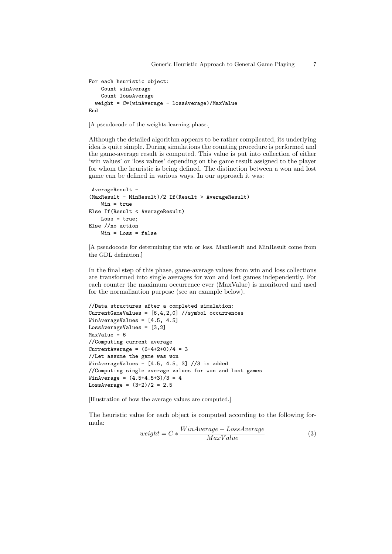```
For each heuristic object:
    Count winAverage
    Count lossAverage
  weight = C*(winAverage - lossAverage)/MaxValueEnd
```
[A pseudocode of the weights-learning phase.]

Although the detailed algorithm appears to be rather complicated, its underlying idea is quite simple. During simulations the counting procedure is performed and the game-average result is computed. This value is put into collection of either 'win values' or 'loss values' depending on the game result assigned to the player for whom the heuristic is being defined. The distinction between a won and lost game can be defined in various ways. In our approach it was:

```
AverageResult =
(MaxResult - MinResult)/2 If(Result > AverageResult)
    Win = true
Else If(Result < AverageResult)
    Loss = true;
Else //no action
    Win = Loss = false
```
[A pseudocode for determining the win or loss. MaxResult and MinResult come from the GDL definition.]

In the final step of this phase, game-average values from win and loss collections are transformed into single averages for won and lost games independently. For each counter the maximum occurrence ever (MaxValue) is monitored and used for the normalization purpose (see an example below).

```
//Data structures after a completed simulation:
CurrentGameValues = [6,4,2,0] //symbol occurrences
WinAverageValues = [4.5, 4.5]
LossAverageValues = [3,2]
MaxValue = 6//Computing current average
CurrentAverage = (6+4+2+0)/4 = 3//Let assume the game was won
WinAverageValues = [4.5, 4.5, 3] //3 is added
//Computing single average values for won and lost games
WinAverage = (4.5+4.5+3)/3 = 4LossAverage = (3+2)/2 = 2.5
```
[Illustration of how the average values are computed.]

The heuristic value for each object is computed according to the following formula:

$$
weight = C * \frac{WinAverage - LossAverage}{MaxValue}
$$
 (3)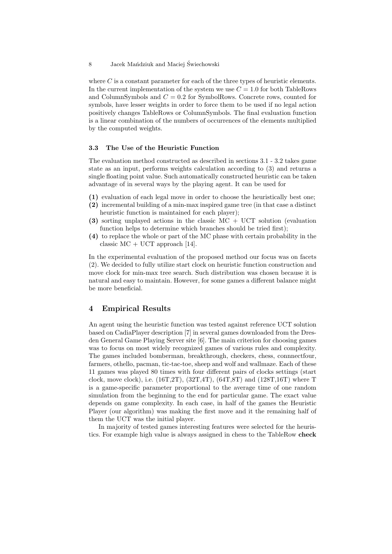where  $C$  is a constant parameter for each of the three types of heuristic elements. In the current implementation of the system we use  $C = 1.0$  for both TableRows and ColumnSymbols and  $C = 0.2$  for SymbolRows. Concrete rows, counted for symbols, have lesser weights in order to force them to be used if no legal action positively changes TableRows or ColumnSymbols. The final evaluation function is a linear combination of the numbers of occurrences of the elements multiplied by the computed weights.

## 3.3 The Use of the Heuristic Function

The evaluation method constructed as described in sections 3.1 - 3.2 takes game state as an input, performs weights calculation according to (3) and returns a single floating point value. Such automatically constructed heuristic can be taken advantage of in several ways by the playing agent. It can be used for

- (1) evaluation of each legal move in order to choose the heuristically best one;
- (2) incremental building of a min-max inspired game tree (in that case a distinct heuristic function is maintained for each player);
- (3) sorting unplayed actions in the classic  $MC + UCT$  solution (evaluation function helps to determine which branches should be tried first);
- (4) to replace the whole or part of the MC phase with certain probability in the classic  $MC + UCT$  approach [14].

In the experimental evaluation of the proposed method our focus was on facets (2). We decided to fully utilize start clock on heuristic function construction and move clock for min-max tree search. Such distribution was chosen because it is natural and easy to maintain. However, for some games a different balance might be more beneficial.

# 4 Empirical Results

An agent using the heuristic function was tested against reference UCT solution based on CadiaPlayer description [7] in several games downloaded from the Dresden General Game Playing Server site [6]. The main criterion for choosing games was to focus on most widely recognized games of various rules and complexity. The games included bomberman, breakthrough, checkers, chess, connnectfour, farmers, othello, pacman, tic-tac-toe, sheep and wolf and wallmaze. Each of these 11 games was played 80 times with four different pairs of clocks settings (start clock, move clock), i.e. (16T,2T), (32T,4T), (64T,8T) and (128T,16T) where T is a game-specific parameter proportional to the average time of one random simulation from the beginning to the end for particular game. The exact value depends on game complexity. In each case, in half of the games the Heuristic Player (our algorithm) was making the first move and it the remaining half of them the UCT was the initial player.

In majority of tested games interesting features were selected for the heuristics. For example high value is always assigned in chess to the TableRow check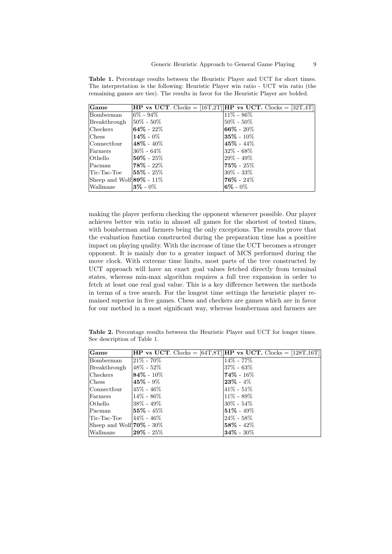| Game                         |                  | <b>HP</b> vs UCT. Clocks = $[16T, 2T]$ <b>HP</b> vs UCT. Clocks = $[32T, 4T]$ |
|------------------------------|------------------|-------------------------------------------------------------------------------|
| Bomberman                    | $6\%$ - $94\%$   | $11\% - 86\%$                                                                 |
| Breakthrough                 | $50\%$ - $50\%$  | $50\% - 50\%$                                                                 |
| Checkers                     | 64\% - $22\%$    | $66\%$ - $20\%$                                                               |
| Chess                        | $14\%$ - 0%      | $35\%$ - $10\%$                                                               |
| Connectfour                  | $48\%$ - $40\%$  | $45\%$ - $44\%$                                                               |
| Farmers                      | $36\%$ - $64\%$  | 32% - 68%                                                                     |
| Othello                      | $50\%$ - $25\%$  | 29% - 49%                                                                     |
| Pacman                       | $178\%$ - $22\%$ | $175\%$ - $25\%$                                                              |
| Tic-Tac-Toe                  | $55\% - 25\%$    | 30% - 33%                                                                     |
| Sheep and Wolf $89\%$ - 11\% |                  | $76\%$ - $24\%$                                                               |
| Wallmaze                     | $3\% - 0\%$      | $6\% - 0\%$                                                                   |

Table 1. Percentage results between the Heuristic Player and UCT for short times. The interpretation is the following: Heuristic Player win ratio - UCT win ratio (the remaining games are ties). The results in favor for the Heuristic Player are bolded.

making the player perform checking the opponent whenever possible. Our player achieves better win ratio in almost all games for the shortest of tested times, with bomberman and farmers being the only exceptions. The results prove that the evaluation function constructed during the preparation time has a positive impact on playing quality. With the increase of time the UCT becomes a stronger opponent. It is mainly due to a greater impact of MCS performed during the move clock. With extreme time limits, most parts of the tree constructed by UCT approach will have an exact goal values fetched directly from terminal states, whereas min-max algorithm requires a full tree expansion in order to fetch at least one real goal value. This is a key difference between the methods in terms of a tree search. For the longest time settings the heuristic player remained superior in five games. Chess and checkers are games which are in favor for our method in a most significant way, whereas bomberman and farmers are

Table 2. Percentage results between the Heuristic Player and UCT for longer times. See description of Table 1.

| Game                           |                              | <b>HP</b> vs UCT. Clocks = $[64T, 8T]$ <b>HP</b> vs UCT. Clocks = $[128T, 16T]$ |
|--------------------------------|------------------------------|---------------------------------------------------------------------------------|
| Bomberman                      | $\left 21\%\right.$ - 70%    | $14\%$ - $77\%$                                                                 |
| Breakthrough                   | 48% - 52%                    | $37\%$ - $63\%$                                                                 |
| Checkers                       | $84\% - 10\%$                | $74\% - 16\%$                                                                   |
| Chess                          | $145\% - 9\%$                | $ 23\% - 4\% $                                                                  |
| Connectfour                    | 45% - 46%                    | $41\% - 51\%$                                                                   |
| Farmers                        | $14\% - 86\%$                | $11\% - 89\%$                                                                   |
| Othello                        | 38% - 49%                    | $30\% - 54\%$                                                                   |
| Pacman                         | $155\% - 45\%$               | $151\%$ - $49\%$                                                                |
| Tic-Tac-Toe                    | 44% - 46%                    | $24\%$ - 58%                                                                    |
| Sheep and Wolf $70\%$ - $30\%$ |                              | $58\% - 42\%$                                                                   |
| Wallmaze                       | $\left 29\%\right $ - $25\%$ | $34\% - 30\%$                                                                   |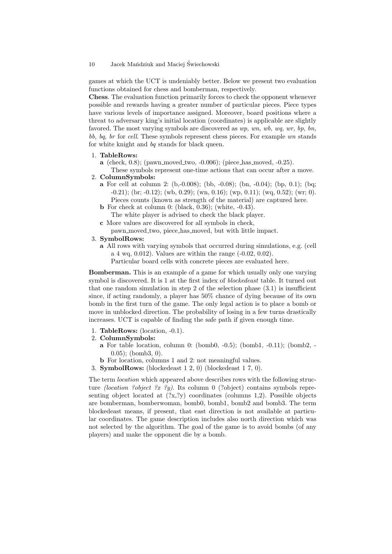games at which the UCT is undeniably better. Below we present two evaluation functions obtained for chess and bomberman, respectively.

Chess. The evaluation function primarily forces to check the opponent whenever possible and rewards having a greater number of particular pieces. Piece types have various levels of importance assigned. Moreover, board positions where a threat to adversary king's initial location (coordinates) is applicable are slightly favored. The most varying symbols are discovered as  $wp, wn, wb, wg, wr, bp, bn$ bb, bq, br for cell. These symbols represent chess pieces. For example wn stands for white knight and bq stands for black queen.

## 1. TableRows:

- a (check,  $0.8$ ); (pawn\_moved\_two,  $-0.006$ ); (piece\_has\_moved,  $-0.25$ ).
- These symbols represent one-time actions that can occur after a move. 2. ColumnSymbols:
	- **a** For cell at column 2:  $(b,-0.008)$ ;  $(bb,-0.08)$ ;  $(bn,-0.04)$ ;  $(bp, 0.1)$ ;  $(bq;$  $(0.21)$ ; (br;  $(0.12)$ ; (wb, 0.29); (wn, 0.16); (wp, 0.11); (wq, 0.52); (wr; 0). Pieces counts (known as strength of the material) are captured here.
	- **b** For check at column 0: (black,  $0.36$ ); (white,  $-0.43$ ). The white player is advised to check the black player.
	- c More values are discovered for all symbols in check,
	- pawn moved two, piece has moved, but with little impact.
- 3. SymbolRows:
	- a All rows with varying symbols that occurred during simulations, e.g. (cell a 4 wq, 0.012). Values are within the range (-0.02, 0.02). Particular board cells with concrete pieces are evaluated here.

Bomberman. This is an example of a game for which usually only one varying symbol is discovered. It is 1 at the first index of blockedeast table. It turned out that one random simulation in step 2 of the selection phase  $(3.1)$  is insufficient since, if acting randomly, a player has 50% chance of dying because of its own bomb in the first turn of the game. The only legal action is to place a bomb or move in unblocked direction. The probability of losing in a few turns drastically increases. UCT is capable of finding the safe path if given enough time.

- 1. TableRows: (location, -0.1).
- 2. ColumnSymbols:
	- a For table location, column 0: (bomb0, -0.5); (bomb1, -0.11); (bomb2, 0.05); (bomb3, 0).
	- b For location, columns 1 and 2: not meaningful values.
- 3. SymbolRows: (blockedeast 1 2, 0) (blockedeast 1 7, 0).

The term location which appeared above describes rows with the following structure *(location ?object ?x ?y)*. Its column 0 (?object) contains symbols representing object located at  $(2x, 2y)$  coordinates (columns 1,2). Possible objects are bomberman, bomberwoman, bomb0, bomb1, bomb2 and bomb3. The term blockedeast means, if present, that east direction is not available at particular coordinates. The game description includes also north direction which was not selected by the algorithm. The goal of the game is to avoid bombs (of any players) and make the opponent die by a bomb.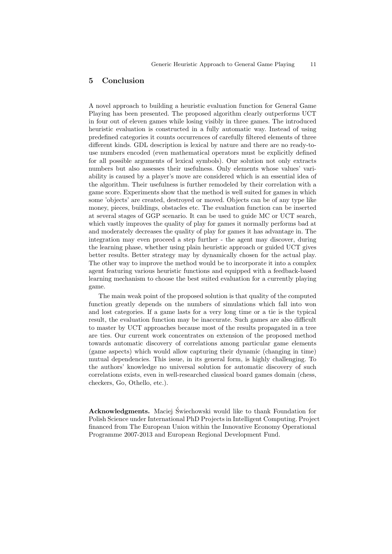# 5 Conclusion

A novel approach to building a heuristic evaluation function for General Game Playing has been presented. The proposed algorithm clearly outperforms UCT in four out of eleven games while losing visibly in three games. The introduced heuristic evaluation is constructed in a fully automatic way. Instead of using predefined categories it counts occurrences of carefully filtered elements of three different kinds. GDL description is lexical by nature and there are no ready-touse numbers encoded (even mathematical operators must be explicitly defined for all possible arguments of lexical symbols). Our solution not only extracts numbers but also assesses their usefulness. Only elements whose values' variability is caused by a player's move are considered which is an essential idea of the algorithm. Their usefulness is further remodeled by their correlation with a game score. Experiments show that the method is well suited for games in which some 'objects' are created, destroyed or moved. Objects can be of any type like money, pieces, buildings, obstacles etc. The evaluation function can be inserted at several stages of GGP scenario. It can be used to guide MC or UCT search, which vastly improves the quality of play for games it normally performs bad at and moderately decreases the quality of play for games it has advantage in. The integration may even proceed a step further - the agent may discover, during the learning phase, whether using plain heuristic approach or guided UCT gives better results. Better strategy may by dynamically chosen for the actual play. The other way to improve the method would be to incorporate it into a complex agent featuring various heuristic functions and equipped with a feedback-based learning mechanism to choose the best suited evaluation for a currently playing game.

The main weak point of the proposed solution is that quality of the computed function greatly depends on the numbers of simulations which fall into won and lost categories. If a game lasts for a very long time or a tie is the typical result, the evaluation function may be inaccurate. Such games are also difficult to master by UCT approaches because most of the results propagated in a tree are ties. Our current work concentrates on extension of the proposed method towards automatic discovery of correlations among particular game elements (game aspects) which would allow capturing their dynamic (changing in time) mutual dependencies. This issue, in its general form, is highly challenging. To the authors' knowledge no universal solution for automatic discovery of such correlations exists, even in well-researched classical board games domain (chess, checkers, Go, Othello, etc.).

Acknowledgments. Maciej Świechowski would like to thank Foundation for Polish Science under International PhD Projects in Intelligent Computing. Project financed from The European Union within the Innovative Economy Operational Programme 2007-2013 and European Regional Development Fund.